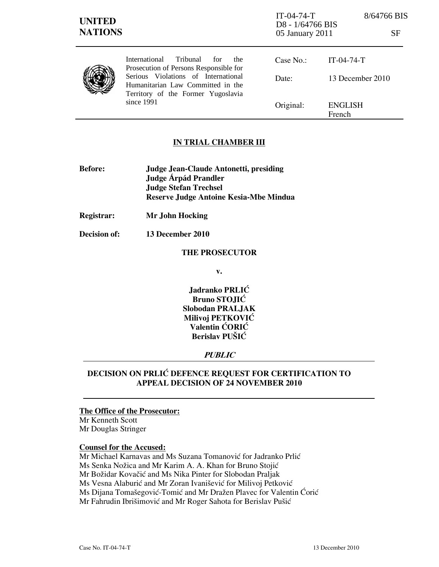| <b>UNITED</b><br><b>NATIONS</b> |                                                                                                                              | $IT-04-74-T$<br>D8 - 1/64766 BIS<br>05 January 2011 |                          | 8/64766 BIS<br>SF |
|---------------------------------|------------------------------------------------------------------------------------------------------------------------------|-----------------------------------------------------|--------------------------|-------------------|
|                                 | International<br>Tribunal<br>for<br>the<br>Prosecution of Persons Responsible for                                            | Case No.:                                           | $IT-04-74-T$             |                   |
|                                 | Serious Violations of International<br>Humanitarian Law Committed in the<br>Territory of the Former Yugoslavia<br>since 1991 | Date:                                               | 13 December 2010         |                   |
|                                 |                                                                                                                              | Original:                                           | <b>ENGLISH</b><br>French |                   |

### IN TRIAL CHAMBER III

- Before: Judge Jean-Claude Antonetti, presiding Judge **Árpád Prandler**  Judge Stefan Trechsel Reserve Judge Antoine Kesia-Mbe Mindua
- Registrar: Mr John Hocking
- Decision of: 13 December 2010

#### THE PROSECUTOR

v.

Jadranko PRLIĆ Bruno STOJIĆ Slobodan PRALJAK Milivoj PETKOVIĆ Valentin ĆORIĆ Berislav PUŠIĆ

## PUBLIC

## DECISION ON PRLIĆ DEFENCE REQUEST FOR CERTIFICATION TO APPEAL DECISION OF 24 NOVEMBER 2010

# The Office of the Prosecutor:

Mr Kenneth Scott Mr Douglas Stringer

### Counsel for the Accused:

Mr Michael Karnavas and Ms Suzana Tomanović for Jadranko Prlić Ms Senka Nožica and Mr Karim A. A. Khan for Bruno Stojić Mr Božidar Kovačić and Ms Nika Pinter for Slobodan Praljak Ms Vesna Alaburić and Mr Zoran Ivanišević for Milivoj Petković Ms Dijana Tomašegović-Tomić and Mr Dražen Plavec for Valentin Ćorić Mr Fahrudin Ibrišimović and Mr Roger Sahota for Berislav Pušić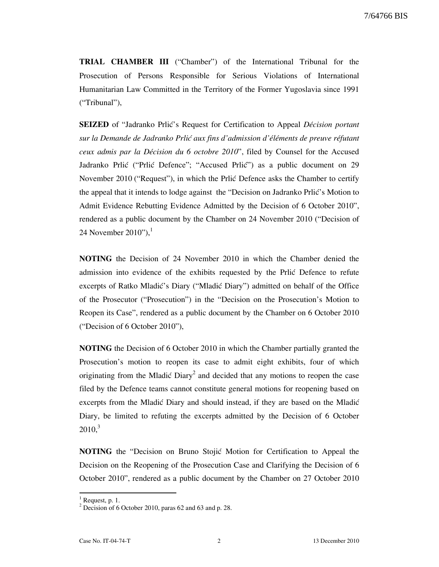TRIAL CHAMBER III ("Chamber") of the International Tribunal for the Prosecution of Persons Responsible for Serious Violations of International Humanitarian Law Committed in the Territory of the Former Yugoslavia since 1991 ("Tribunal"),

**SEIZED** of "Jadranko Prlić's Request for Certification to Appeal *Décision portant* sur la Demande de Jadranko Prlić aux fins d'admission d'éléments de preuve réfutant ceux admis par la Décision du 6 octobre 2010", filed by Counsel for the Accused Jadranko Prlić ("Prlić Defence"; "Accused Prlić") as a public document on 29 November 2010 ("Request"), in which the Prlić Defence asks the Chamber to certify the appeal that it intends to lodge against the "Decision on Jadranko Prlić's Motion to Admit Evidence Rebutting Evidence Admitted by the Decision of 6 October 2010", rendered as a public document by the Chamber on 24 November 2010 ("Decision of 24 November 2010"), $^1$ 

NOTING the Decision of 24 November 2010 in which the Chamber denied the admission into evidence of the exhibits requested by the Prlic Defence to refute excerpts of Ratko Mladić's Diary ("Mladić Diary") admitted on behalf of the Office of the Prosecutor ("Prosecution") in the "Decision on the Prosecution's Motion to Reopen its Case", rendered as a public document by the Chamber on 6 October 2010 ("Decision of 6 October 2010"),

NOTING the Decision of 6 October 2010 in which the Chamber partially granted the Prosecution's motion to reopen its case to admit eight exhibits, four of which originating from the Mladić Diary<sup>2</sup> and decided that any motions to reopen the case filed by the Defence teams cannot constitute general motions for reopening based on excerpts from the Mladić Diary and should instead, if they are based on the Mladić Diary, be limited to refuting the excerpts admitted by the Decision of 6 October  $2010<sup>3</sup>$ 

**NOTING** the "Decision on Bruno Stojić Motion for Certification to Appeal the Decision on the Reopening of the Prosecution Case and Clarifying the Decision of 6 October 2010", rendered as a public document by the Chamber on 27 October 2010

l

 $<sup>1</sup>$  Request, p. 1.</sup>

 $2^2$  Decision of 6 October 2010, paras 62 and 63 and p. 28.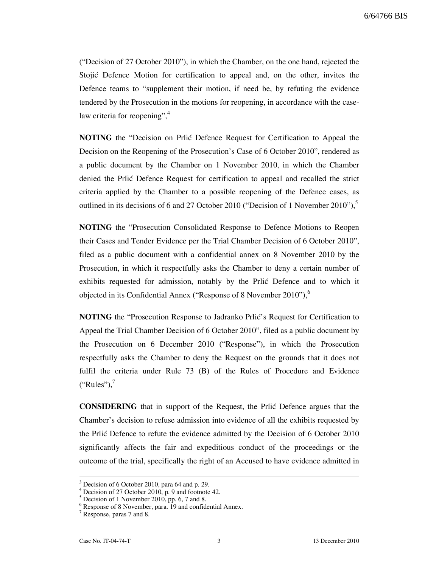("Decision of 27 October 2010"), in which the Chamber, on the one hand, rejected the Stojić Defence Motion for certification to appeal and, on the other, invites the Defence teams to "supplement their motion, if need be, by refuting the evidence tendered by the Prosecution in the motions for reopening, in accordance with the caselaw criteria for reopening", 4

**NOTING** the "Decision on Prlic Defence Request for Certification to Appeal the Decision on the Reopening of the Prosecution's Case of 6 October 2010", rendered as a public document by the Chamber on 1 November 2010, in which the Chamber denied the Prlić Defence Request for certification to appeal and recalled the strict criteria applied by the Chamber to a possible reopening of the Defence cases, as outlined in its decisions of 6 and 27 October 2010 ("Decision of 1 November 2010"), $\degree$ 

NOTING the "Prosecution Consolidated Response to Defence Motions to Reopen their Cases and Tender Evidence per the Trial Chamber Decision of 6 October 2010", filed as a public document with a confidential annex on 8 November 2010 by the Prosecution, in which it respectfully asks the Chamber to deny a certain number of exhibits requested for admission, notably by the Prlic Defence and to which it objected in its Confidential Annex ("Response of 8 November 2010"),  $6\overline{ }$ 

NOTING the "Prosecution Response to Jadranko Prlić's Request for Certification to Appeal the Trial Chamber Decision of 6 October 2010", filed as a public document by the Prosecution on 6 December 2010 ("Response"), in which the Prosecution respectfully asks the Chamber to deny the Request on the grounds that it does not fulfil the criteria under Rule 73 (B) of the Rules of Procedure and Evidence  $("Rules")$ ,

CONSIDERING that in support of the Request, the Prlić Defence argues that the Chamber's decision to refuse admission into evidence of all the exhibits requested by the Prli} Defence to refute the evidence admitted by the Decision of 6 October 2010 significantly affects the fair and expeditious conduct of the proceedings or the outcome of the trial, specifically the right of an Accused to have evidence admitted in

<sup>3</sup> Decision of 6 October 2010, para 64 and p. 29.

<sup>&</sup>lt;sup>4</sup> Decision of 27 October 2010, p. 9 and footnote 42.

<sup>5</sup> Decision of 1 November 2010, pp. 6, 7 and 8.

<sup>6</sup> Response of 8 November, para. 19 and confidential Annex.

<sup>&</sup>lt;sup>7</sup> Response, paras 7 and 8.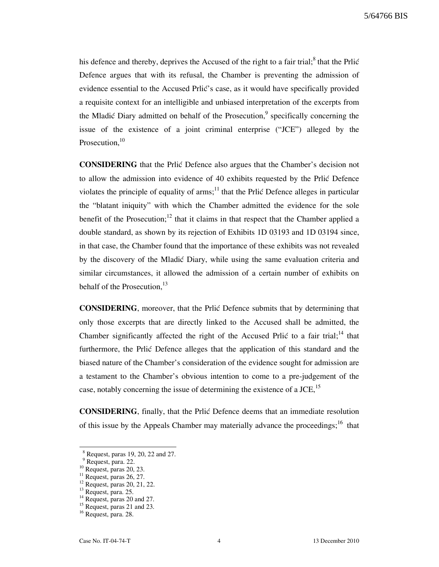his defence and thereby, deprives the Accused of the right to a fair trial;<sup>8</sup> that the Prlić Defence argues that with its refusal, the Chamber is preventing the admission of evidence essential to the Accused Prlić's case, as it would have specifically provided a requisite context for an intelligible and unbiased interpretation of the excerpts from the Mladić Diary admitted on behalf of the Prosecution,<sup>9</sup> specifically concerning the issue of the existence of a joint criminal enterprise ("JCE") alleged by the Prosecution, $10$ 

CONSIDERING that the Prlić Defence also argues that the Chamber's decision not to allow the admission into evidence of 40 exhibits requested by the Prlić Defence violates the principle of equality of arms;<sup>11</sup> that the Prlic Defence alleges in particular the "blatant iniquity" with which the Chamber admitted the evidence for the sole benefit of the Prosecution;<sup>12</sup> that it claims in that respect that the Chamber applied a double standard, as shown by its rejection of Exhibits 1D 03193 and 1D 03194 since, in that case, the Chamber found that the importance of these exhibits was not revealed by the discovery of the Mladić Diary, while using the same evaluation criteria and similar circumstances, it allowed the admission of a certain number of exhibits on behalf of the Prosecution,<sup>13</sup>

CONSIDERING, moreover, that the Prlić Defence submits that by determining that only those excerpts that are directly linked to the Accused shall be admitted, the Chamber significantly affected the right of the Accused Prlić to a fair trial;<sup>14</sup> that furthermore, the Prlić Defence alleges that the application of this standard and the biased nature of the Chamber's consideration of the evidence sought for admission are a testament to the Chamber's obvious intention to come to a pre-judgement of the case, notably concerning the issue of determining the existence of a JCE, $^{15}$ 

CONSIDERING, finally, that the Prli} Defence deems that an immediate resolution of this issue by the Appeals Chamber may materially advance the proceedings;<sup>16</sup> that

<sup>8</sup> Request, paras 19, 20, 22 and 27.

<sup>9</sup> Request, para. 22.

 $10$  Request, paras 20, 23.

 $^{11}$  Request, paras 26, 27.

 $12$  Request, paras 20, 21, 22.

<sup>13</sup> Request, para. 25.

 $14$  Request, paras 20 and 27.

 $15$  Request, paras 21 and 23.

<sup>&</sup>lt;sup>16</sup> Request, para. 28.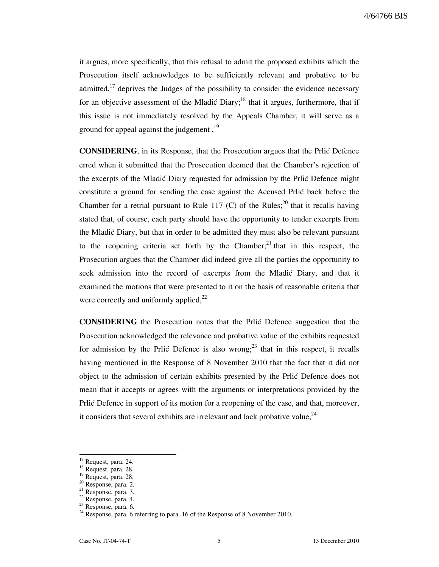it argues, more specifically, that this refusal to admit the proposed exhibits which the Prosecution itself acknowledges to be sufficiently relevant and probative to be admitted, $17$  deprives the Judges of the possibility to consider the evidence necessary for an objective assessment of the Mladić Diary;<sup>18</sup> that it argues, furthermore, that if this issue is not immediately resolved by the Appeals Chamber, it will serve as a ground for appeal against the judgement,  $19$ 

CONSIDERING, in its Response, that the Prosecution argues that the Prlić Defence erred when it submitted that the Prosecution deemed that the Chamber's rejection of the excerpts of the Mladić Diary requested for admission by the Prlić Defence might constitute a ground for sending the case against the Accused Prlic back before the Chamber for a retrial pursuant to Rule 117 (C) of the Rules;<sup>20</sup> that it recalls having stated that, of course, each party should have the opportunity to tender excerpts from the Mladić Diary, but that in order to be admitted they must also be relevant pursuant to the reopening criteria set forth by the Chamber;<sup>21</sup> that in this respect, the Prosecution argues that the Chamber did indeed give all the parties the opportunity to seek admission into the record of excerpts from the Mladić Diary, and that it examined the motions that were presented to it on the basis of reasonable criteria that were correctly and uniformly applied, $^{22}$ 

CONSIDERING the Prosecution notes that the Prlić Defence suggestion that the Prosecution acknowledged the relevance and probative value of the exhibits requested for admission by the Prlić Defence is also wrong;<sup>23</sup> that in this respect, it recalls having mentioned in the Response of 8 November 2010 that the fact that it did not object to the admission of certain exhibits presented by the Prlić Defence does not mean that it accepts or agrees with the arguments or interpretations provided by the Prlić Defence in support of its motion for a reopening of the case, and that, moreover, it considers that several exhibits are irrelevant and lack probative value,  $24$ 

 $17$  Request, para. 24.

 $18$  Request, para. 28.

 $^{19}$  Request, para. 28.

 $20$  Response, para. 2.

 $^{21}$  Response, para. 3.

<sup>22</sup> Response, para. 4.

<sup>23</sup> Response, para. 6.

 $24$  Response, para. 6 referring to para. 16 of the Response of 8 November 2010.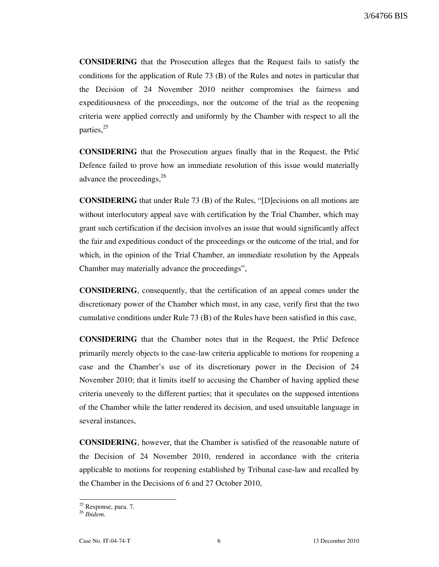CONSIDERING that the Prosecution alleges that the Request fails to satisfy the conditions for the application of Rule 73 (B) of the Rules and notes in particular that the Decision of 24 November 2010 neither compromises the fairness and expeditiousness of the proceedings, nor the outcome of the trial as the reopening criteria were applied correctly and uniformly by the Chamber with respect to all the parties,<sup>25</sup>

CONSIDERING that the Prosecution argues finally that in the Request, the Prli} Defence failed to prove how an immediate resolution of this issue would materially advance the proceedings,<sup>26</sup>

CONSIDERING that under Rule 73 (B) of the Rules, "[D]ecisions on all motions are without interlocutory appeal save with certification by the Trial Chamber, which may grant such certification if the decision involves an issue that would significantly affect the fair and expeditious conduct of the proceedings or the outcome of the trial, and for which, in the opinion of the Trial Chamber, an immediate resolution by the Appeals Chamber may materially advance the proceedings",

CONSIDERING, consequently, that the certification of an appeal comes under the discretionary power of the Chamber which must, in any case, verify first that the two cumulative conditions under Rule 73 (B) of the Rules have been satisfied in this case,

CONSIDERING that the Chamber notes that in the Request, the Prlić Defence primarily merely objects to the case-law criteria applicable to motions for reopening a case and the Chamber's use of its discretionary power in the Decision of 24 November 2010; that it limits itself to accusing the Chamber of having applied these criteria unevenly to the different parties; that it speculates on the supposed intentions of the Chamber while the latter rendered its decision, and used unsuitable language in several instances,

CONSIDERING, however, that the Chamber is satisfied of the reasonable nature of the Decision of 24 November 2010, rendered in accordance with the criteria applicable to motions for reopening established by Tribunal case-law and recalled by the Chamber in the Decisions of 6 and 27 October 2010,

<sup>&</sup>lt;sup>25</sup> Response, para. 7.

 $26$  Ibidem.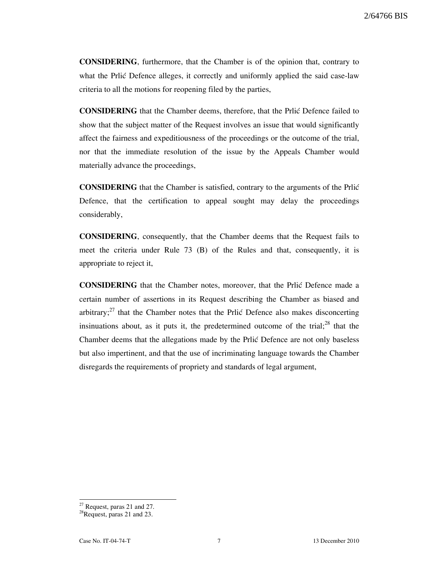CONSIDERING, furthermore, that the Chamber is of the opinion that, contrary to what the Prlic Defence alleges, it correctly and uniformly applied the said case-law criteria to all the motions for reopening filed by the parties,

CONSIDERING that the Chamber deems, therefore, that the Prlić Defence failed to show that the subject matter of the Request involves an issue that would significantly affect the fairness and expeditiousness of the proceedings or the outcome of the trial, nor that the immediate resolution of the issue by the Appeals Chamber would materially advance the proceedings,

CONSIDERING that the Chamber is satisfied, contrary to the arguments of the Prlić Defence, that the certification to appeal sought may delay the proceedings considerably,

CONSIDERING, consequently, that the Chamber deems that the Request fails to meet the criteria under Rule 73 (B) of the Rules and that, consequently, it is appropriate to reject it,

CONSIDERING that the Chamber notes, moreover, that the Prlić Defence made a certain number of assertions in its Request describing the Chamber as biased and arbitrary; $^{27}$  that the Chamber notes that the Prlić Defence also makes disconcerting insinuations about, as it puts it, the predetermined outcome of the trial; $^{28}$  that the Chamber deems that the allegations made by the Prlić Defence are not only baseless but also impertinent, and that the use of incriminating language towards the Chamber disregards the requirements of propriety and standards of legal argument,

 $27$  Request, paras 21 and 27.

 $2^8$ Request, paras 21 and 23.